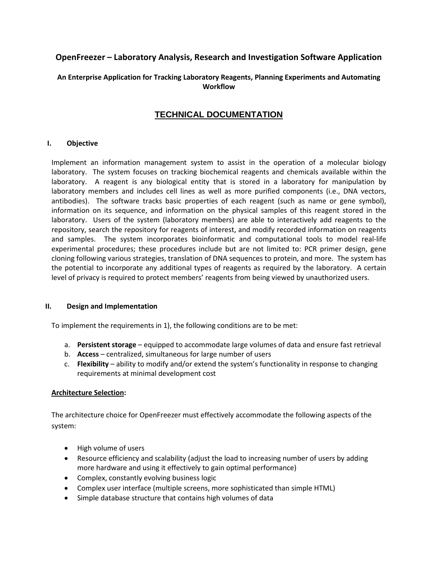# **OpenFreezer – Laboratory Analysis, Research and Investigation Software Application**

# **An Enterprise Application for Tracking Laboratory Reagents, Planning Experiments and Automating Workflow**

# **TECHNICAL DOCUMENTATION**

# **I. Objective**

Implement an information management system to assist in the operation of a molecular biology laboratory. The system focuses on tracking biochemical reagents and chemicals available within the laboratory. A reagent is any biological entity that is stored in a laboratory for manipulation by laboratory members and includes cell lines as well as more purified components (i.e., DNA vectors, antibodies). The software tracks basic properties of each reagent (such as name or gene symbol), information on its sequence, and information on the physical samples of this reagent stored in the laboratory. Users of the system (laboratory members) are able to interactively add reagents to the repository, search the repository for reagents of interest, and modify recorded information on reagents and samples. The system incorporates bioinformatic and computational tools to model real-life experimental procedures; these procedures include but are not limited to: PCR primer design, gene cloning following various strategies, translation of DNA sequences to protein, and more. The system has the potential to incorporate any additional types of reagents as required by the laboratory. A certain level of privacy is required to protect members' reagents from being viewed by unauthorized users.

## **II. Design and Implementation**

To implement the requirements in 1), the following conditions are to be met:

- a. **Persistent storage** equipped to accommodate large volumes of data and ensure fast retrieval
- b. **Access** centralized, simultaneous for large number of users
- c. **Flexibility** ability to modify and/or extend the system's functionality in response to changing requirements at minimal development cost

## **Architecture Selection:**

The architecture choice for OpenFreezer must effectively accommodate the following aspects of the system:

- High volume of users
- Resource efficiency and scalability (adjust the load to increasing number of users by adding more hardware and using it effectively to gain optimal performance)
- Complex, constantly evolving business logic
- Complex user interface (multiple screens, more sophisticated than simple HTML)
- Simple database structure that contains high volumes of data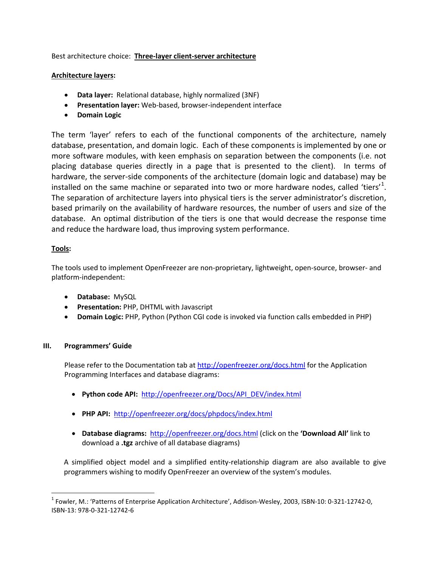Best architecture choice: **Three-layer client-server architecture**

# **Architecture layers:**

- **Data layer:** Relational database, highly normalized (3NF)
- **Presentation layer:** Web-based, browser-independent interface
- **Domain Logic**

The term 'layer' refers to each of the functional components of the architecture, namely database, presentation, and domain logic. Each of these components is implemented by one or more software modules, with keen emphasis on separation between the components (i.e. not placing database queries directly in a page that is presented to the client). In terms of hardware, the server-side components of the architecture (domain logic and database) may be installed on the same machine or separated into two or more hardware nodes, called 'tiers'<sup>[1](#page-1-0)</sup>. The separation of architecture layers into physical tiers is the server administrator's discretion, based primarily on the availability of hardware resources, the number of users and size of the database. An optimal distribution of the tiers is one that would decrease the response time and reduce the hardware load, thus improving system performance.

# **Tools:**

The tools used to implement OpenFreezer are non-proprietary, lightweight, open-source, browser- and platform-independent:

- **Database:** MySQL
- **Presentation:** PHP, DHTML with Javascript
- **Domain Logic:** PHP, Python (Python CGI code is invoked via function calls embedded in PHP)

# **III. Programmers' Guide**

Please refer to the Documentation tab at<http://openfreezer.org/docs.html> for the Application Programming Interfaces and database diagrams:

- **Python code API:** [http://openfreezer.org/Docs/API\\_DEV/index.html](http://openfreezer.org/Docs/API_DEV/index.html)
- **PHP API:** <http://openfreezer.org/docs/phpdocs/index.html>
- **Database diagrams:** <http://openfreezer.org/docs.html> (click on the **'Download All'** link to download a **.tgz** archive of all database diagrams)

A simplified object model and a simplified entity-relationship diagram are also available to give programmers wishing to modify OpenFreezer an overview of the system's modules.

<span id="page-1-0"></span><sup>1</sup> Fowler, M.: 'Patterns of Enterprise Application Architecture', Addison-Wesley, 2003, ISBN-10: 0-321-12742-0, ISBN-13: 978-0-321-12742-6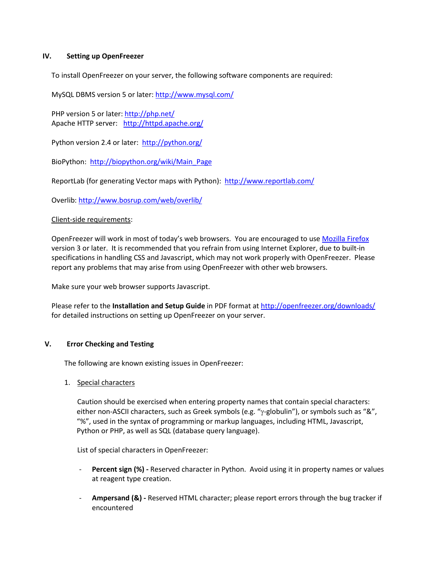## **IV. Setting up OpenFreezer**

To install OpenFreezer on your server, the following software components are required:

MySQL DBMS version 5 or later:<http://www.mysql.com/>

PHP version 5 or later:<http://php.net/> ApacheHTTP server: <http://httpd.apache.org/>

Python version 2.4 or later:<http://python.org/>

BioPython: [http://biopython.org/wiki/Main\\_Page](http://biopython.org/wiki/Main_Page)

ReportLab (for generating Vector maps with Python): <http://www.reportlab.com/>

Overlib:<http://www.bosrup.com/web/overlib/>

#### Client-side requirements:

OpenFreezer will work in most of today's web browsers. You are encouraged to use [Mozilla Firefox](http://www.mozilla.org/firefox/) version 3 or later. It is recommended that you refrain from using Internet Explorer, due to built-in specifications in handling CSS and Javascript, which may not work properly with OpenFreezer. Please report any problems that may arise from using OpenFreezer with other web browsers.

Make sure your web browser supports Javascript.

Please refer to the **Installation and Setup Guide** in PDF format at http://openfreezer.org/downloads/ for detailed instructions on setting up OpenFreezer on your server.

#### **V. Error Checking and Testing**

The following are known existing issues in OpenFreezer:

1. Special characters

Caution should be exercised when entering property names that contain special characters: either non-ASCII characters, such as Greek symbols (e.g. "γ-globulin"), or symbols such as "&", "%", used in the syntax of programming or markup languages, including HTML, Javascript, Python or PHP, as well as SQL (database query language).

List of special characters in OpenFreezer:

- **Percent sign (%) -** Reserved character in Python. Avoid using it in property names or values at reagent type creation.
- Ampersand (&) Reserved HTML character; please report errors through the bug tracker if encountered